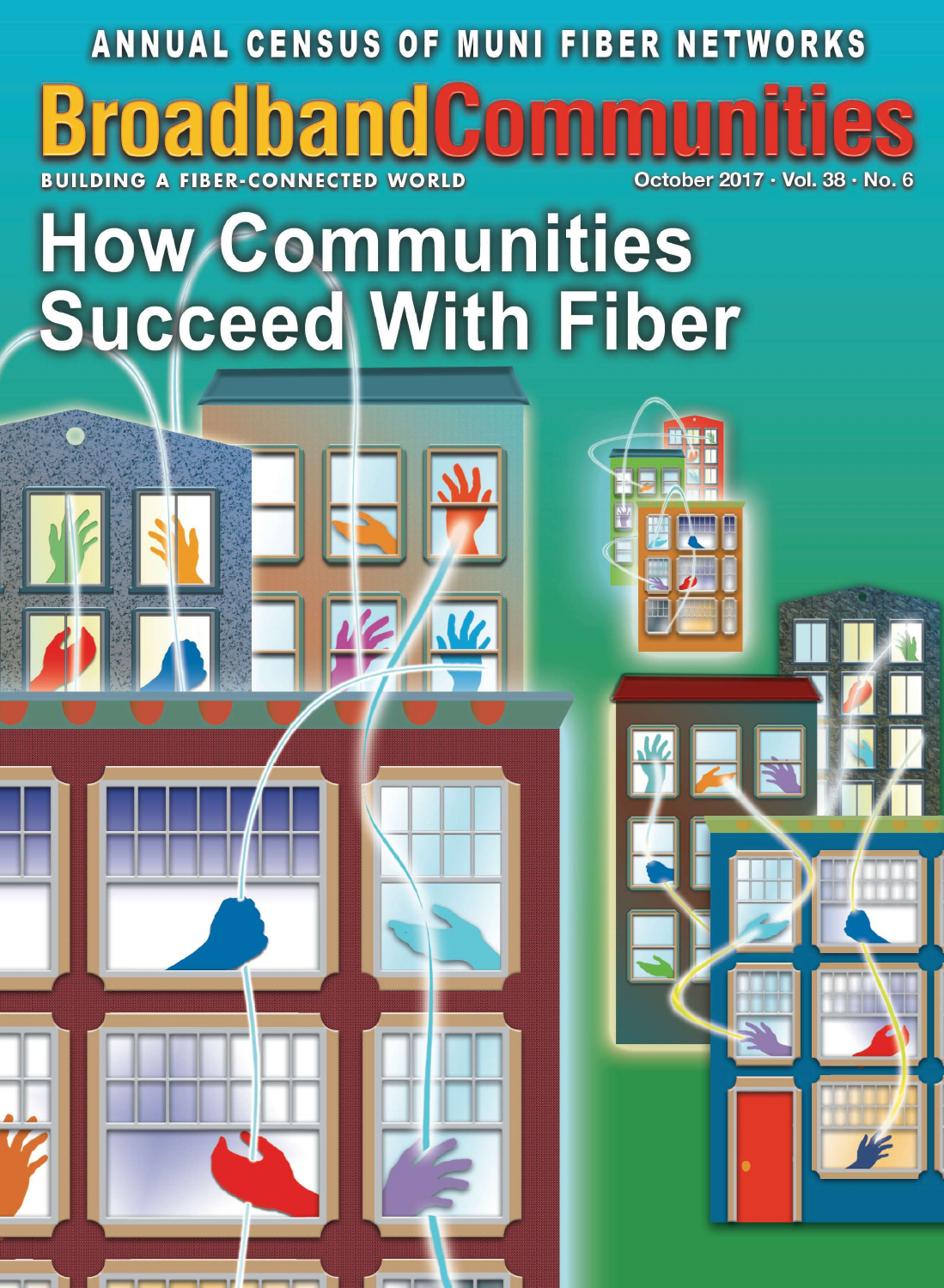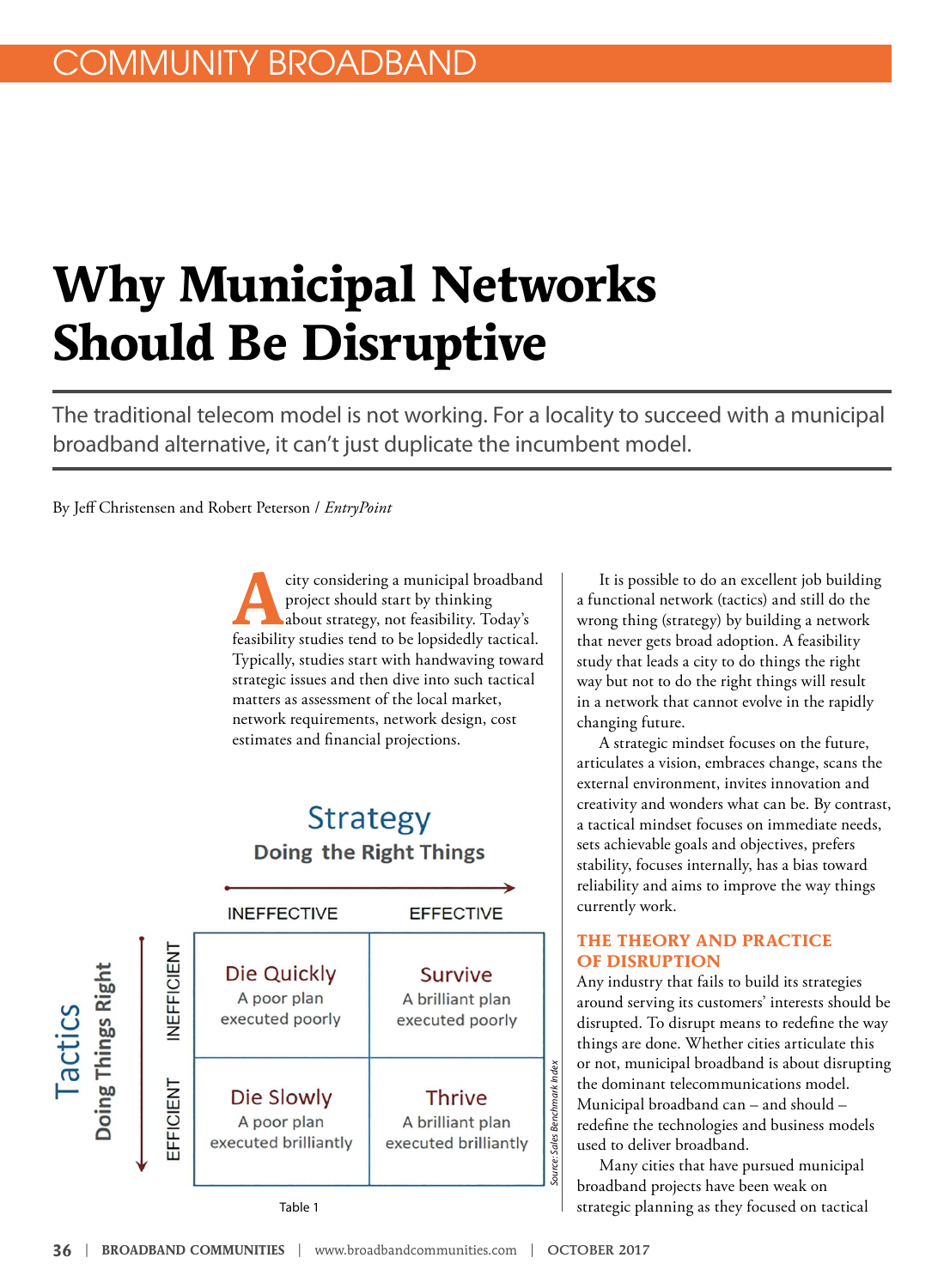# **Why Municipal Networks Should Be Disruptive**

The traditional telecom model is not working. For a locality to succeed with a municipal broadband alternative, it can't just duplicate the incumbent model.

By Jeff Christensen and Robert Peterson / *EntryPoint* 

city considering a municipal broadband<br>project should start by thinking<br>dabout strategy, not feasibility. Today's<br>feasibility studies tend to be lopsidedly tactical. city considering a municipal broadband project should start by thinking about strategy, not feasibility. Today's Typically, studies start with handwaving toward strategic issues and then dive into such tactical matters as assessment of the local market, network requirements, network design, cost estimates and financial projections.

### **Strategy** Doing the Right Things



It is possible to do an excellent job building a functional network (tactics) and still do the wrong thing (strategy) by building a network that never gets broad adoption. A feasibility study that leads a city to do things the right way but not to do the right things will result in a network that cannot evolve in the rapidly changing future.

A strategic mindset focuses on the future, articulates a vision, embraces change, scans the external environment, invites innovation and creativity and wonders what can be. By contrast, a tactical mindset focuses on immediate needs, sets achievable goals and objectives, prefers stability, focuses internally, has a bias toward reliability and aims to improve the way things currently work.

#### **THE THEORY AND PRACTICE OF DISRUPTION**

Any industry that fails to build its strategies around serving its customers' interests should be disrupted. To disrupt means to redefine the way things are done. Whether cities articulate this or not, municipal broadband is about disrupting the dominant telecommunications model. Municipal broadband can – and should – redefine the technologies and business models used to deliver broadband.

Many cities that have pursued municipal broadband projects have been weak on strategic planning as they focused on tactical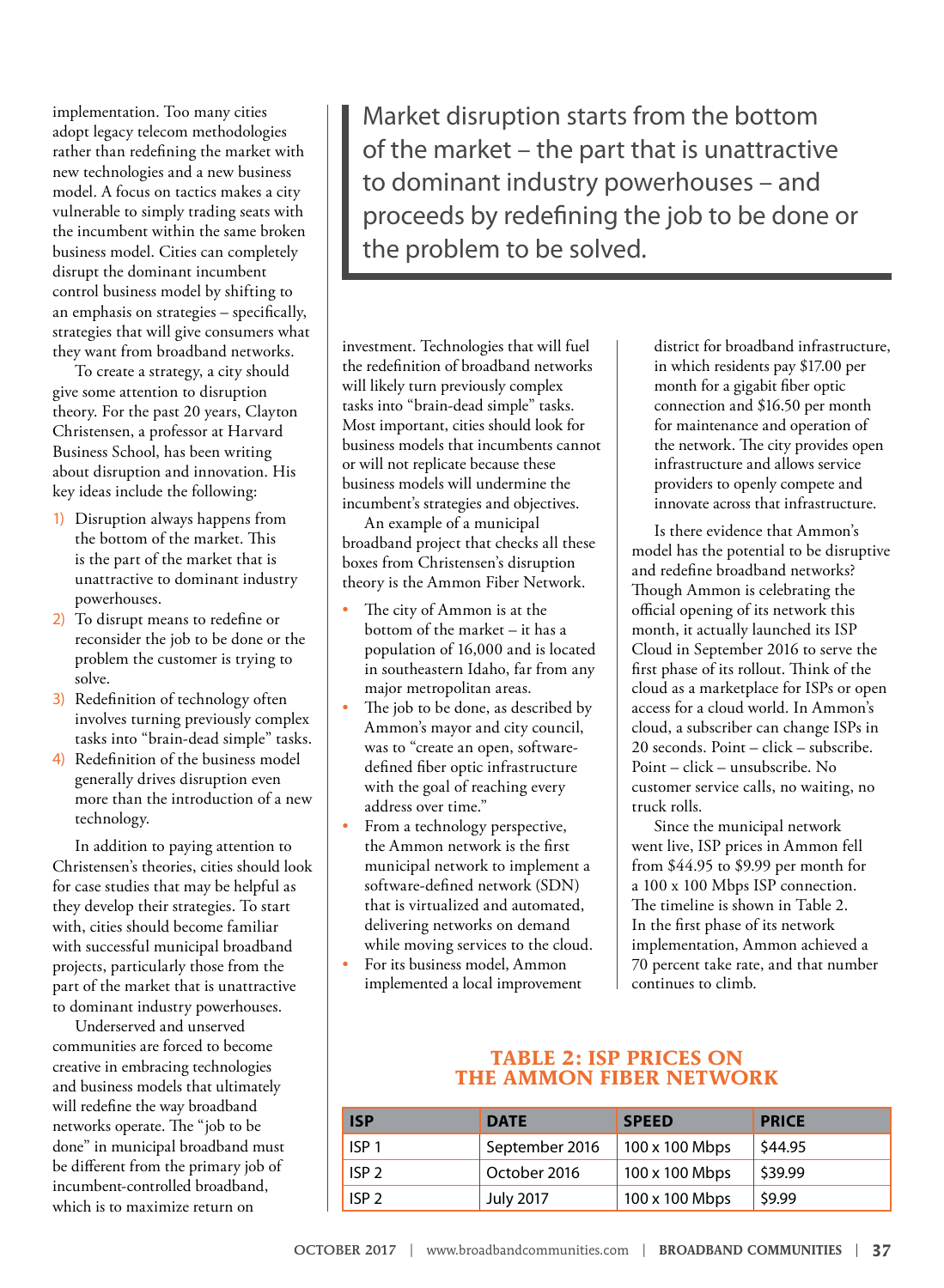implementation. Too many cities adopt legacy telecom methodologies rather than redefining the market with new technologies and a new business model. A focus on tactics makes a city vulnerable to simply trading seats with the incumbent within the same broken business model. Cities can completely disrupt the dominant incumbent control business model by shifting to an emphasis on strategies – specifically, strategies that will give consumers what they want from broadband networks.

To create a strategy, a city should give some attention to disruption theory. For the past 20 years, Clayton Christensen, a professor at Harvard Business School, has been writing about disruption and innovation. His key ideas include the following:

- 1) Disruption always happens from the bottom of the market. This is the part of the market that is unattractive to dominant industry powerhouses.
- 2) To disrupt means to redefine or reconsider the job to be done or the problem the customer is trying to solve.
- 3) Redefinition of technology often involves turning previously complex tasks into "brain-dead simple" tasks.
- 4) Redefinition of the business model generally drives disruption even more than the introduction of a new technology.

In addition to paying attention to Christensen's theories, cities should look for case studies that may be helpful as they develop their strategies. To start with, cities should become familiar with successful municipal broadband projects, particularly those from the part of the market that is unattractive to dominant industry powerhouses.

Underserved and unserved communities are forced to become creative in embracing technologies and business models that ultimately will redefine the way broadband networks operate. The "job to be done" in municipal broadband must be different from the primary job of incumbent-controlled broadband, which is to maximize return on

Market disruption starts from the bottom of the market – the part that is unattractive to dominant industry powerhouses – and proceeds by redefining the job to be done or the problem to be solved.

investment. Technologies that will fuel the redefinition of broadband networks will likely turn previously complex tasks into "brain-dead simple" tasks. Most important, cities should look for business models that incumbents cannot or will not replicate because these business models will undermine the incumbent's strategies and objectives.

An example of a municipal broadband project that checks all these boxes from Christensen's disruption theory is the Ammon Fiber Network.

- The city of Ammon is at the bottom of the market – it has a population of 16,000 and is located in southeastern Idaho, far from any major metropolitan areas.
- The job to be done, as described by Ammon's mayor and city council, was to "create an open, softwaredefined fiber optic infrastructure with the goal of reaching every address over time."
- From a technology perspective, the Ammon network is the first municipal network to implement a software-defined network (SDN) that is virtualized and automated, delivering networks on demand while moving services to the cloud.
- For its business model, Ammon implemented a local improvement

district for broadband infrastructure, in which residents pay \$17.00 per month for a gigabit fiber optic connection and \$16.50 per month for maintenance and operation of the network. The city provides open infrastructure and allows service providers to openly compete and innovate across that infrastructure.

Is there evidence that Ammon's model has the potential to be disruptive and redefine broadband networks? Though Ammon is celebrating the official opening of its network this month, it actually launched its ISP Cloud in September 2016 to serve the first phase of its rollout. Think of the cloud as a marketplace for ISPs or open access for a cloud world. In Ammon's cloud, a subscriber can change ISPs in 20 seconds. Point – click – subscribe. Point – click – unsubscribe. No customer service calls, no waiting, no truck rolls.

Since the municipal network went live, ISP prices in Ammon fell from \$44.95 to \$9.99 per month for a 100 x 100 Mbps ISP connection. The timeline is shown in Table 2. In the first phase of its network implementation, Ammon achieved a 70 percent take rate, and that number continues to climb.

#### **TABLE 2: ISP PRICES ON THE AMMON FIBER NETWORK**

| <b>ISP</b>       | <b>DATE</b>      | <b>SPEED</b>   | <b>PRICE</b> |
|------------------|------------------|----------------|--------------|
| ISP <sub>1</sub> | September 2016   | 100 x 100 Mbps | \$44.95      |
| ISP <sub>2</sub> | October 2016     | 100 x 100 Mbps | \$39.99      |
| ISP <sub>2</sub> | <b>July 2017</b> | 100 x 100 Mbps | \$9.99       |